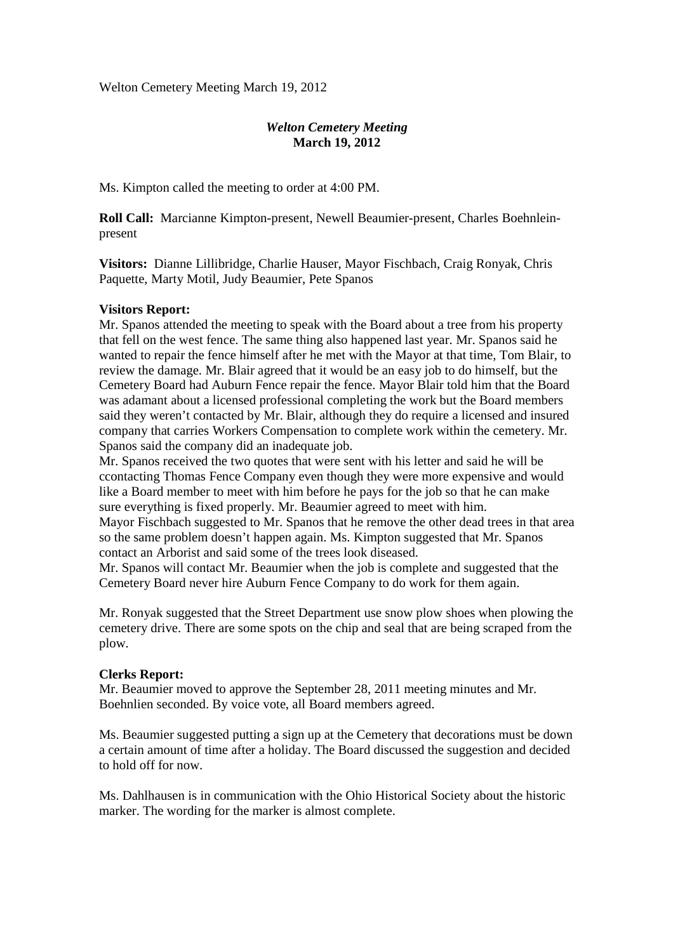Welton Cemetery Meeting March 19, 2012

# *Welton Cemetery Meeting*  **March 19, 2012**

Ms. Kimpton called the meeting to order at 4:00 PM.

**Roll Call:** Marcianne Kimpton-present, Newell Beaumier-present, Charles Boehnleinpresent

**Visitors:** Dianne Lillibridge, Charlie Hauser, Mayor Fischbach, Craig Ronyak, Chris Paquette, Marty Motil, Judy Beaumier, Pete Spanos

## **Visitors Report:**

Mr. Spanos attended the meeting to speak with the Board about a tree from his property that fell on the west fence. The same thing also happened last year. Mr. Spanos said he wanted to repair the fence himself after he met with the Mayor at that time, Tom Blair, to review the damage. Mr. Blair agreed that it would be an easy job to do himself, but the Cemetery Board had Auburn Fence repair the fence. Mayor Blair told him that the Board was adamant about a licensed professional completing the work but the Board members said they weren't contacted by Mr. Blair, although they do require a licensed and insured company that carries Workers Compensation to complete work within the cemetery. Mr. Spanos said the company did an inadequate job.

Mr. Spanos received the two quotes that were sent with his letter and said he will be ccontacting Thomas Fence Company even though they were more expensive and would like a Board member to meet with him before he pays for the job so that he can make sure everything is fixed properly. Mr. Beaumier agreed to meet with him.

Mayor Fischbach suggested to Mr. Spanos that he remove the other dead trees in that area so the same problem doesn't happen again. Ms. Kimpton suggested that Mr. Spanos contact an Arborist and said some of the trees look diseased.

Mr. Spanos will contact Mr. Beaumier when the job is complete and suggested that the Cemetery Board never hire Auburn Fence Company to do work for them again.

Mr. Ronyak suggested that the Street Department use snow plow shoes when plowing the cemetery drive. There are some spots on the chip and seal that are being scraped from the plow.

### **Clerks Report:**

Mr. Beaumier moved to approve the September 28, 2011 meeting minutes and Mr. Boehnlien seconded. By voice vote, all Board members agreed.

Ms. Beaumier suggested putting a sign up at the Cemetery that decorations must be down a certain amount of time after a holiday. The Board discussed the suggestion and decided to hold off for now.

Ms. Dahlhausen is in communication with the Ohio Historical Society about the historic marker. The wording for the marker is almost complete.